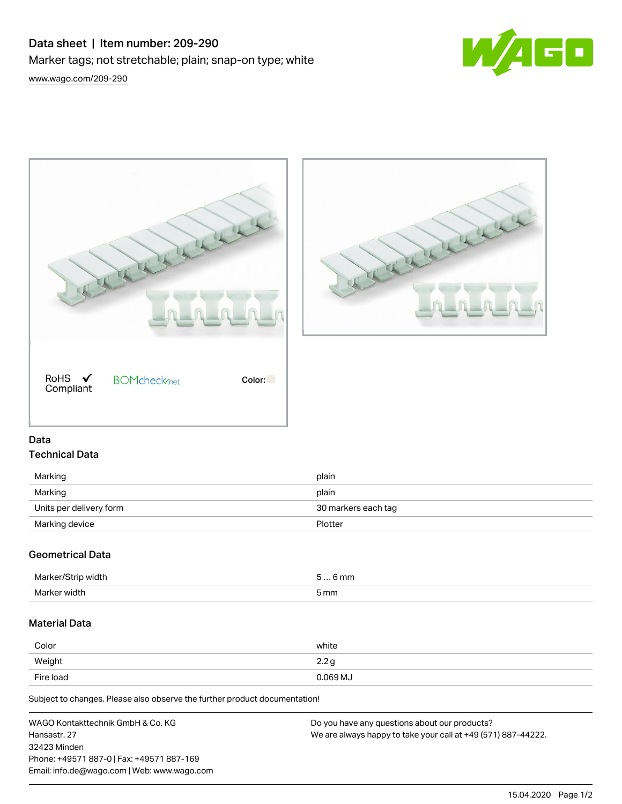# Data sheet | Item number: 209-290 Marker tags; not stretchable; plain; snap-on type; white









## Data Technical Data

| Marking                 | plain               |
|-------------------------|---------------------|
| Marking                 | plain               |
| Units per delivery form | 30 markers each tag |
| Marking device          | Plotter             |

## Geometrical Data

| width        | 6 mm |
|--------------|------|
| יי           | ь    |
| $  -$        |      |
| Marker width | 5 mm |

## Material Data

| Color     | white    |
|-----------|----------|
| Weight    | 2.2g     |
| Fire load | 0.069 MJ |

Subject to changes. Please also observe the further product documentation!

| WAGO Kontakttechnik GmbH & Co. KG           | Do you have any questions about our products?                 |
|---------------------------------------------|---------------------------------------------------------------|
| Hansastr, 27                                | We are always happy to take your call at +49 (571) 887-44222. |
| 32423 Minden                                |                                                               |
| Phone: +49571 887-0   Fax: +49571 887-169   |                                                               |
| Email: info.de@wago.com   Web: www.wago.com |                                                               |